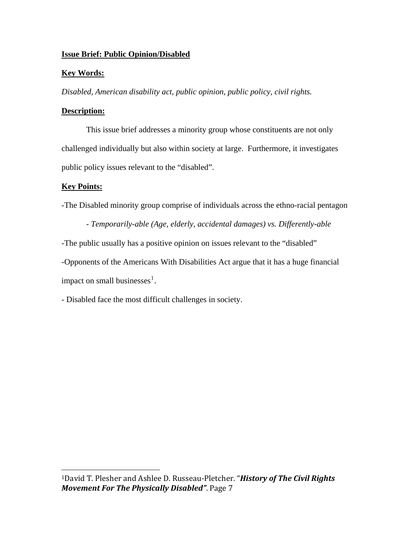# **Issue Brief: Public Opinion/Disabled**

### **Key Words:**

*Disabled, American disability act, public opinion, public policy, civil rights.* 

### **Description:**

This issue brief addresses a minority group whose constituents are not only challenged individually but also within society at large. Furthermore, it investigates public policy issues relevant to the "disabled".

# **Key Points:**

-The Disabled minority group comprise of individuals across the ethno-racial pentagon

 - *Temporarily-able (Age, elderly, accidental damages) vs. Differently-able* -The public usually has a positive opinion on issues relevant to the "disabled" -Opponents of the Americans With Disabilities Act argue that it has a huge financial impact on small businesses $<sup>1</sup>$  $<sup>1</sup>$  $<sup>1</sup>$ .</sup>

- Disabled face the most difficult challenges in society.

<span id="page-0-0"></span><sup>1</sup>David T. Plesher and Ashlee D. Russeau‐Pletcher. "*History of The Civil Rights Movement For The Physically Disabled"*. Page 7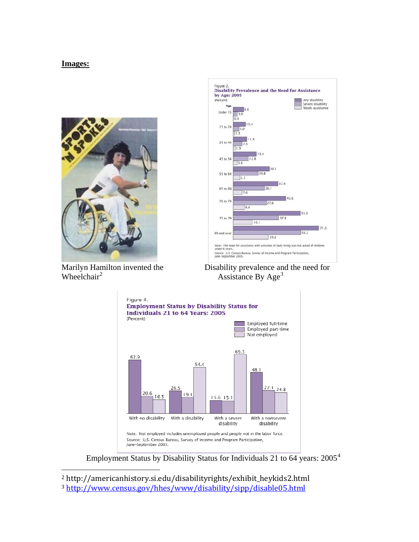#### **Images:**



Figure 2.<br>Disability Prevalence and the Need for Assistance by Age: 2005 Any disability (Percent) Nily ursability<br>Severe disability<br>Needs assistance  $\Lambda$ Under 1  $15 to 2$  $25<sub>to</sub>$ 45 to 55 to 64  $5.7$  $37.4$ 65 to 69 7.6  $743.8$ 70 to 7 27.6  $9.4$ 75 to 79 37.8  $|16.$ 71.0 80 and ove 56.2 29.2 assistance with activities of daily living was not asked of children

Wheelchair $<sup>2</sup>$  $<sup>2</sup>$  $<sup>2</sup>$ </sup>

<span id="page-1-2"></span>





Employment Status by Disability Status for Individuals 21 to 6[4](#page-1-2) years: 2005<sup>4</sup>

<span id="page-1-1"></span><span id="page-1-0"></span>2 [http://americanhistory.si.edu/disabilityrights/exhibit\\_heykids2.htm](http://www.census.gov/hhes/www/disability/sipp/disable05.html)l

<sup>3</sup> http://www.census.gov/hhes/www/disability/sipp/disable05.html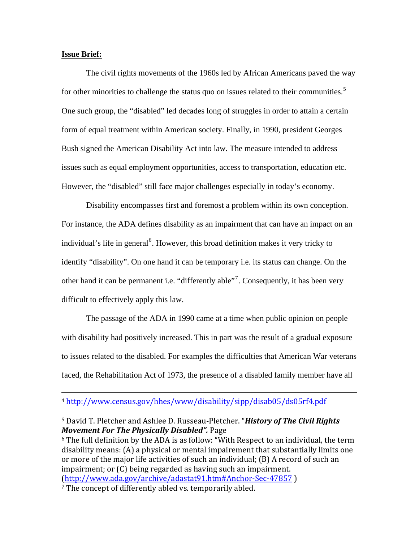#### **Issue Brief:**

 The civil rights movements of the 1960s led by African Americans paved the way for other minorities to challenge the status quo on issues related to their communities.<sup>[5](#page-2-0)</sup> One such group, the "disabled" led decades long of struggles in order to attain a certain form of equal treatment within American society. Finally, in 1990, president Georges Bush signed the American Disability Act into law. The measure intended to address issues such as equal employment opportunities, access to transportation, education etc. However, the "disabled" still face major challenges especially in today's economy.

Disability encompasses first and foremost a problem within its own conception. For instance, the ADA defines disability as an impairment that can have an impact on an individual's life in general<sup>[6](#page-2-1)</sup>. However, this broad definition makes it very tricky to identify "disability". On one hand it can be temporary i.e. its status can change. On the other hand it can be permanent i.e. "differently able"<sup>[7](#page-2-2)</sup>. Consequently, it has been very difficult to effectively apply this law.

The passage of the ADA in 1990 came at a time when public opinion on people with disability had positively increased. This in part was the result of a gradual exposure to issues related to the disabled. For examples the difficulties that American War veterans faced, the Rehabilitation Act of 1973, the presence of a disabled family member have all

<u> 1989 - Johann Stoff, deutscher Stoffen und der Stoffen und der Stoffen und der Stoffen und der Stoffen und de</u>

<span id="page-2-2"></span><span id="page-2-1"></span>6 The full definition by the ADA is as follow: "With Respect to an individual, the term disability means: (A) a physical or mental impairement that substantially limits one or more of the major life activities of such an individual; (B) A record of such an impairment; or (C) being regarded as having such an impairment. (http://www.ada.gov/archive/adastat91.htm#Anchor-Sec-47857) <sup>7</sup> The concept of differently abled vs. temporarily abled.

<sup>4</sup> http://www.census.gov/hhes/www/disability/sipp/disab05/ds05rf4.pdf

<span id="page-2-0"></span><sup>5</sup> David T. Pletcher and Ashlee D. Russeau‐Pletcher. "*History of The Civil Rights Movement For The Physically Disabled".* Page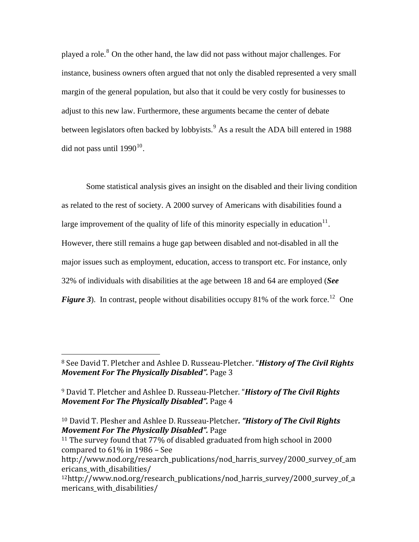played a role.<sup>[8](#page-3-0)</sup> On the other hand, the law did not pass without major challenges. For instance, business owners often argued that not only the disabled represented a very small margin of the general population, but also that it could be very costly for businesses to adjust to this new law. Furthermore, these arguments became the center of debate between legislators often backed by lobbyists.<sup>[9](#page-3-1)</sup> As a result the ADA bill entered in 1988 did not pass until  $1990^{10}$  $1990^{10}$  $1990^{10}$ .

Some statistical analysis gives an insight on the disabled and their living condition as related to the rest of society. A 2000 survey of Americans with disabilities found a large improvement of the quality of life of this minority especially in education $11$ . However, there still remains a huge gap between disabled and not-disabled in all the major issues such as employment, education, access to transport etc. For instance, only 32% of individuals with disabilities at the age between 18 and 64 are employed (*See Figure* 3). In contrast, people without disabilities occupy 81% of the work force.<sup>[12](#page-3-4)</sup> One

<span id="page-3-0"></span>See David T. Pletcher and Ashlee D. Russeau‐Pletcher. "*History of The Civil Rights* <sup>8</sup> *Movement For The Physically Disabled".* Page 3

<span id="page-3-1"></span>David T. Pletcher and Ashlee D. Russeau‐Pletcher. "*History of The Civil Rights* <sup>9</sup> *Movement For The Physically Disabled".* Page 4

<span id="page-3-2"></span><sup>10</sup> David T. Plesher and Ashlee D. Russeau‐Pletcher*. "History of The Civil Rights Movement For The Physically Disabled".* Page

<span id="page-3-3"></span><sup>11</sup> The survey found that 77% of disabled graduated from high school in 2000 compared to 61% in 1986 – See

http://www.nod.org/research\_publications/nod\_harris\_survey/2000\_survey\_of\_am ericans with disabilities/

<span id="page-3-4"></span><sup>12</sup>http://www.nod.org/research\_publications/nod\_harris\_survey/2000\_survey\_of\_a mericans with disabilities/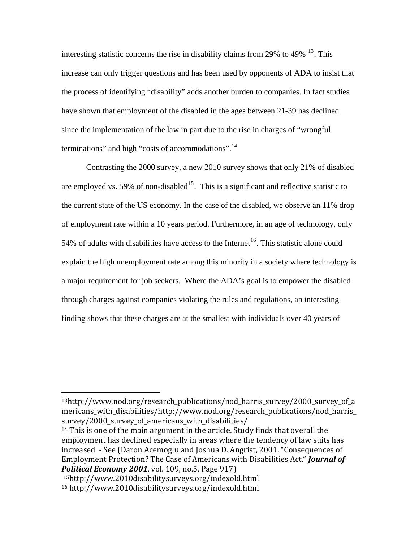interesting statistic concerns the rise in disability claims from 29% to 49% [13](#page-4-0). This increase can only trigger questions and has been used by opponents of ADA to insist that the process of identifying "disability" adds another burden to companies. In fact studies have shown that employment of the disabled in the ages between 21-39 has declined since the implementation of the law in part due to the rise in charges of "wrongful terminations" and high "costs of accommodations".<sup>[14](#page-4-1)</sup>

Contrasting the 2000 survey, a new 2010 survey shows that only 21% of disabled are employed vs. 59% of non-disabled<sup>[15](#page-4-2)</sup>. This is a significant and reflective statistic to the current state of the US economy. In the case of the disabled, we observe an 11% drop of employment rate within a 10 years period. Furthermore, in an age of technology, only 54% of adults with disabilities have access to the Internet<sup>[16](#page-4-3)</sup>. This statistic alone could explain the high unemployment rate among this minority in a society where technology is a major requirement for job seekers. Where the ADA's goal is to empower the disabled through charges against companies violating the rules and regulations, an interesting finding shows that these charges are at the smallest with individuals over 40 years of

<span id="page-4-0"></span>13http://www.nod.org/research\_publications/nod\_harris\_survey/2000\_survey\_of\_a mericans with disabilities/http://www.nod.org/research\_publications/nod\_harris\_ survey/2000\_survey\_of\_americans\_with\_disabilities/

<span id="page-4-1"></span>14 This is one of the main argument in the article. Study finds that overall the employment has declined especially in areas where the tendency of law suits has increased ‐ See (Daron Acemoglu and Joshua D. Angrist, 2001. "Consequences of Employment Protection? The Case of Americans with Disabilities Act." *Journal of Political Economy 2001*, vol. 109, no.5. Page 917)

<span id="page-4-3"></span><span id="page-4-2"></span>15http://www.2010disabilitysurveys.org/indexold.html 16 http://www.2010disabilitysurveys.org/indexold.html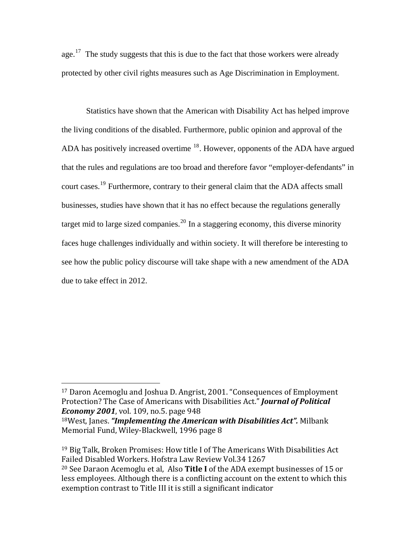age.<sup>[17](#page-5-0)</sup> The study suggests that this is due to the fact that those workers were already protected by other civil rights measures such as Age Discrimination in Employment.

Statistics have shown that the American with Disability Act has helped improve the living conditions of the disabled. Furthermore, public opinion and approval of the ADA has positively increased overtime <sup>[18](#page-5-1)</sup>. However, opponents of the ADA have argued that the rules and regulations are too broad and therefore favor "employer-defendants" in court cases.[19](#page-5-2) Furthermore, contrary to their general claim that the ADA affects small businesses, studies have shown that it has no effect because the regulations generally target mid to large sized companies.<sup>[20](#page-5-3)</sup> In a staggering economy, this diverse minority faces huge challenges individually and within society. It will therefore be interesting to see how the public policy discourse will take shape with a new amendment of the ADA due to take effect in 2012.

<span id="page-5-3"></span><span id="page-5-2"></span> $19$  Big Talk, Broken Promises: How title I of The Americans With Disabilities Act Failed Disabled Workers. Hofstra Law Review Vol.34 1267 20 See Daraon Acemoglu et al, Also **Title I** of the ADA exempt businesses of 15 or less employees. Although there is a conflicting account on the extent to which this exemption contrast to Title III it is still a significant indicator

<span id="page-5-0"></span><sup>17</sup> Daron Acemoglu and Joshua D. Angrist, 2001. "Consequences of Employment Protection? The Case of Americans with Disabilities Act." *Journal of Political Economy 2001*, vol. 109, no.5. page 948 8West, Janes. *"Implementing the American with Disabilities Act".* Milbank <sup>1</sup>

<span id="page-5-1"></span>Memorial Fund, Wiley‐Blackwell, 1996 page 8